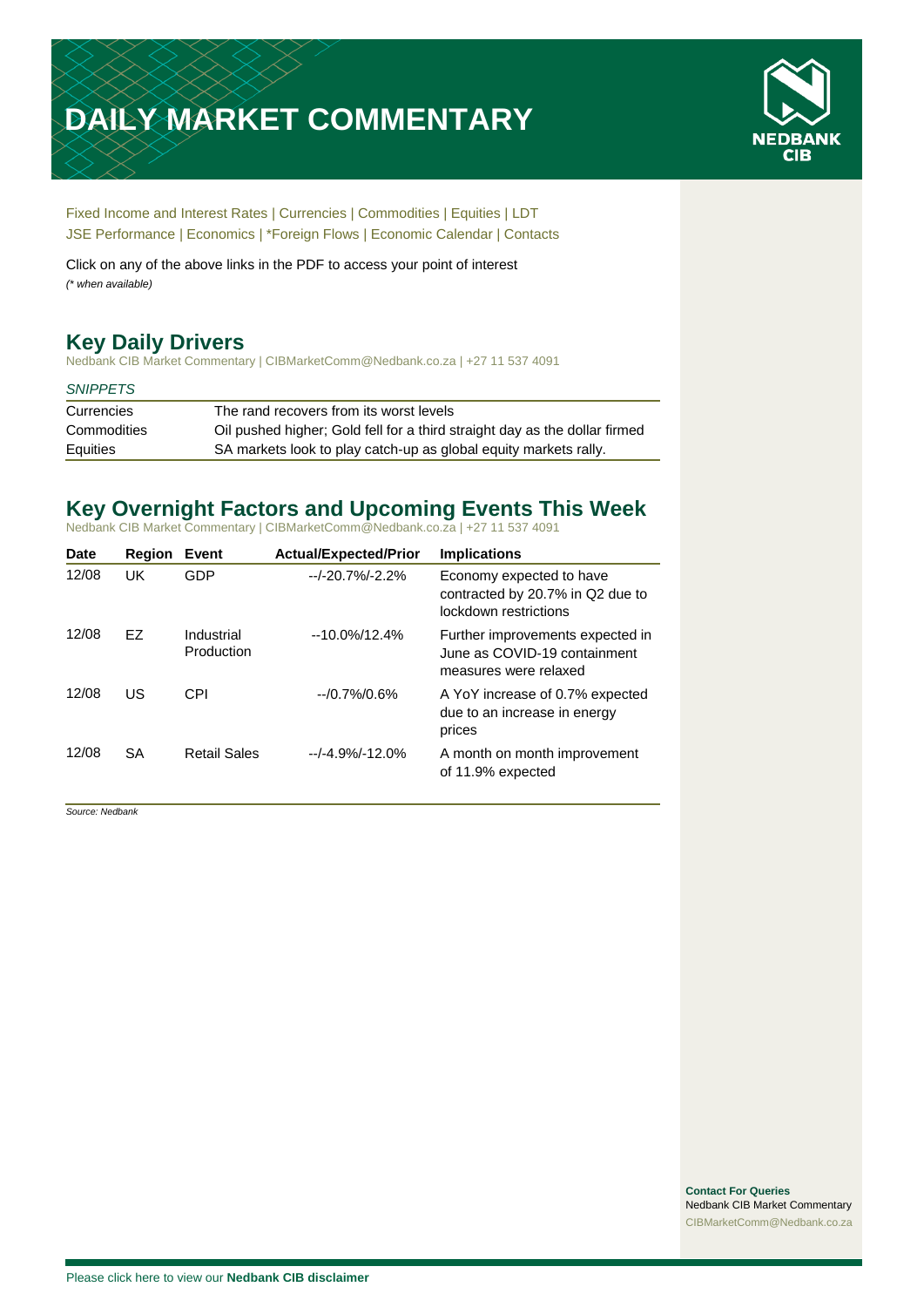# **DAILY MARKET COMMENTARY**



[Fixed Income and Interest Rates](#page-1-0) | [Currencies](#page-2-0) | [Commodities](#page-3-0) [| Equities](#page-4-0) | [LDT](#page-5-0) [JSE Performance](#page-6-0) | [Economics](#page-7-0) | [\\*Foreign Flows](#page-7-0) | [Economic Calendar](#page-7-0) | [Contacts](#page-8-0)

Click on any of the above links in the PDF to access your point of interest *(\* when available)*

## **Key Daily Drivers**

Nedbank CIB Market Commentary | CIBMarketComm@Nedbank.co.za | +27 11 537 4091

#### *SNIPPETS*

| Currencies  | The rand recovers from its worst levels                                    |
|-------------|----------------------------------------------------------------------------|
| Commodities | Oil pushed higher: Gold fell for a third straight day as the dollar firmed |
| Equities    | SA markets look to play catch-up as global equity markets rally.           |

## **Key Overnight Factors and Upcoming Events This Week**

Nedbank CIB Market Commentary | CIBMarketComm@Nedbank.co.za | +27 11 537 4091

| Date  | Region    | Event                    | <b>Actual/Expected/Prior</b> | <b>Implications</b>                                                                       |
|-------|-----------|--------------------------|------------------------------|-------------------------------------------------------------------------------------------|
| 12/08 | UK        | GDP                      | $-1 - 20.7% - 2.2%$          | Economy expected to have<br>contracted by 20.7% in Q2 due to<br>lockdown restrictions     |
| 12/08 | FZ        | Industrial<br>Production | $-10.0\%/12.4\%$             | Further improvements expected in<br>June as COVID-19 containment<br>measures were relaxed |
| 12/08 | US        | CPI                      | $-10.7\%/0.6\%$              | A YoY increase of 0.7% expected<br>due to an increase in energy<br>prices                 |
| 12/08 | <b>SA</b> | <b>Retail Sales</b>      | $-1 - 4.9% - 12.0%$          | A month on month improvement<br>of 11.9% expected                                         |

*Source: Nedbank*

**Contact For Queries** Nedbank CIB Market Commentary [CIBMarketComm@Nedbank.co.za](file:///C:/Users/Paul-Rose/AppData/Roaming/Bluecurve/templates/CIBMarketComm@Nedbank.co.za)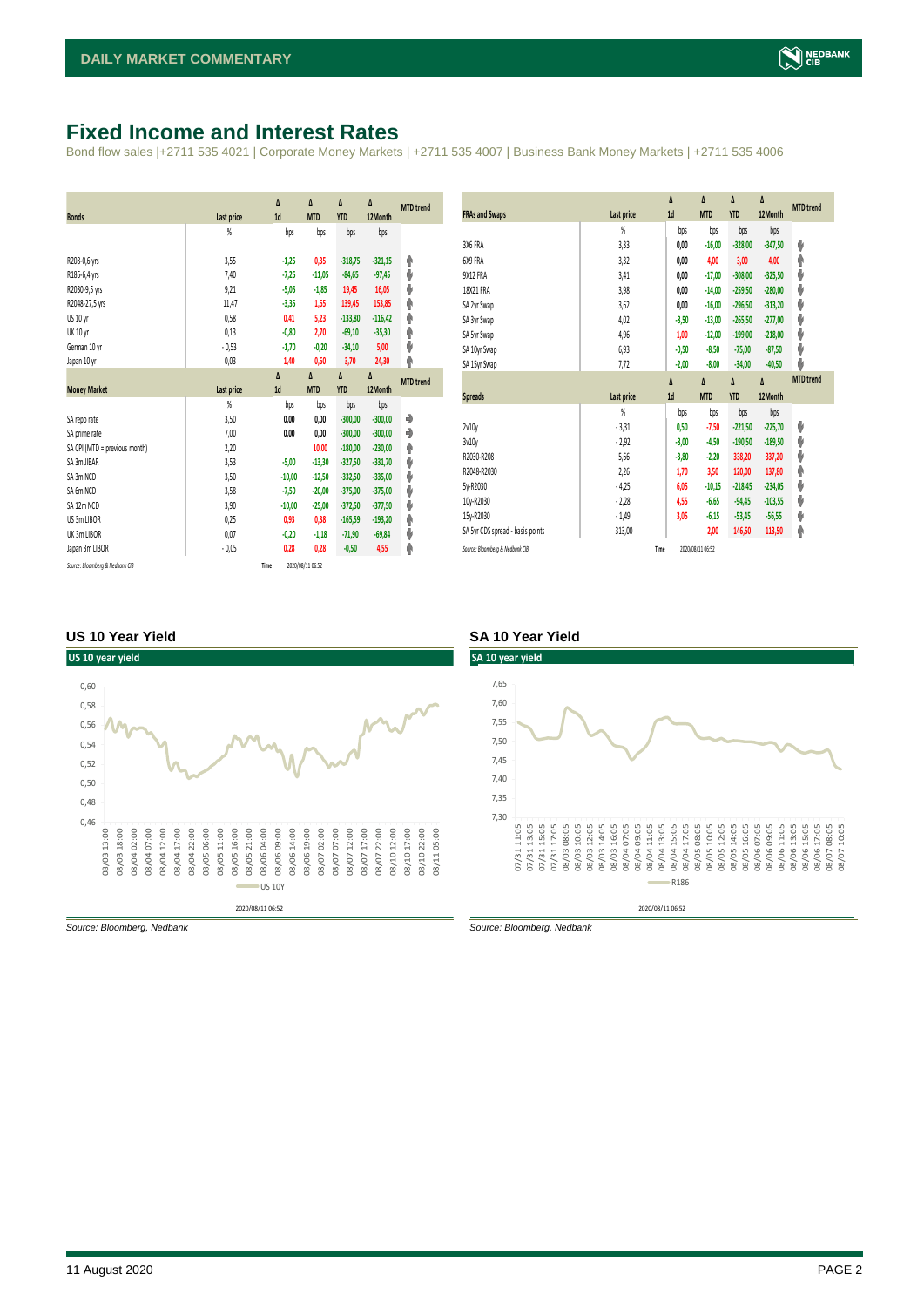## <span id="page-1-0"></span>**Fixed Income and Interest Rates**

Bond flow sales |+2711 535 4021 | Corporate Money Markets | +2711 535 4007 | Business Bank Money Markets | +2711 535 4006

| <b>Bonds</b>                  | <b>Last price</b> | Δ<br>1d  | Δ<br><b>MTD</b> | Δ<br><b>YTD</b> | Δ<br>12Month | <b>MTD</b> trend |
|-------------------------------|-------------------|----------|-----------------|-----------------|--------------|------------------|
|                               | %                 | bps      | bps             | bps             | bps          |                  |
|                               |                   |          |                 |                 |              |                  |
| R208-0,6 yrs                  | 3,55              | $-1,25$  | 0,35            | $-318,75$       | $-321,15$    | ۸                |
| R186-6,4 yrs                  | 7.40              | $-7,25$  | $-11,05$        | $-84,65$        | $-97,45$     | ψ                |
| R2030-9,5 yrs                 | 9,21              | $-5,05$  | $-1,85$         | 19,45           | 16,05        | ψ                |
| R2048-27,5 yrs                | 11,47             | $-3,35$  | 1,65            | 139,45          | 153,85       | ۸                |
| US 10 yr                      | 0,58              | 0,41     | 5,23            | $-133,80$       | $-116,42$    | φ                |
| <b>UK 10 yr</b>               | 0,13              | $-0,80$  | 2,70            | $-69,10$        | $-35,30$     | ۸                |
| German 10 yr                  | $-0,53$           | $-1,70$  | $-0,20$         | $-34,10$        | 5,00         | ψ                |
| Japan 10 yr                   | 0,03              | 1,40     | 0,60            | 3,70            | 24,30        | φ                |
|                               |                   | Δ        | Δ               | Δ               | Δ            |                  |
| <b>Money Market</b>           | Last price        | 1d       | <b>MTD</b>      | <b>YTD</b>      | 12Month      | <b>MTD</b> trend |
|                               | $\frac{9}{20}$    | bps      | bps             | bps             | bps          |                  |
| SA repo rate                  | 3,50              |          |                 | $-300,00$       |              | ۰                |
|                               |                   | 0,00     | 0,00            |                 | $-300,00$    |                  |
| SA prime rate                 | 7,00              | 0,00     | 0,00            | $-300,00$       | $-300,00$    | ۰                |
| SA CPI (MTD = previous month) | 2,20              |          | 10,00           | $-180.00$       | $-230,00$    |                  |
| SA 3m JIBAR                   | 3,53              | $-5,00$  | $-13,30$        | $-327,50$       | $-331,70$    | ۸                |
| SA 3m NCD                     | 3,50              | $-10,00$ | $-12,50$        | $-332,50$       | $-335,00$    | ψ                |
| SA 6m NCD                     | 3,58              | $-7,50$  | $-20,00$        | $-375,00$       | $-375,00$    | ψ                |
| SA 12m NCD                    | 3,90              | $-10,00$ | $-25,00$        | $-372.50$       | $-377,50$    | ψ                |
| US 3m LIBOR                   | 0,25              | 0,93     | 0,38            | $-165,59$       | $-193,20$    | ψ                |
| UK 3m LIBOR                   | 0,07              | $-0,20$  | $-1,18$         | $-71,90$        | $-69,84$     | ۸                |
| Japan 3m LIBOR                | $-0,05$           | 0,28     | 0,28            | $-0,50$         | 4,55         | ψ<br>φ           |

| <b>FRAs and Swaps</b>            | Last price     | Δ<br>1d | Δ<br><b>MTD</b> | Δ<br><b>YTD</b> | Δ<br>12Month | <b>MTD</b> trend |
|----------------------------------|----------------|---------|-----------------|-----------------|--------------|------------------|
|                                  | %              | bps     | bps             | bps             | bps          |                  |
| 3X6 FRA                          | 3,33           | 0,00    | $-16,00$        | $-328,00$       | $-347,50$    | ψ                |
| 6X9 FRA                          | 3,32           | 0,00    | 4,00            | 3,00            | 4,00         | ۸                |
| <b>9X12 FRA</b>                  | 3,41           | 0,00    | $-17,00$        | $-308,00$       | $-325,50$    | ψ                |
| 18X21 FRA                        | 3,98           | 0,00    | $-14,00$        | $-259.50$       | $-280,00$    | ψ                |
| SA 2yr Swap                      | 3,62           | 0,00    | $-16,00$        | $-296,50$       | $-313,20$    | ψ                |
| SA 3yr Swap                      | 4,02           | $-8,50$ | $-13,00$        | $-265,50$       | $-277,00$    | ψ                |
| SA 5yr Swap                      | 4,96           | 1,00    | $-12,00$        | $-199,00$       | $-218,00$    | ψ                |
| SA 10yr Swap                     | 6,93           | $-0,50$ | $-8,50$         | $-75,00$        | $-87,50$     | ψ                |
| SA 15yr Swap                     | 7,72           | $-2,00$ | $-8,00$         | $-34,00$        | $-40,50$     | ىل               |
|                                  |                |         |                 |                 |              |                  |
|                                  |                | Δ       | Δ               | Δ               | Δ            | <b>MTD</b> trend |
| <b>Spreads</b>                   | Last price     | 1d      | <b>MTD</b>      | <b>YTD</b>      | 12Month      |                  |
|                                  | $\frac{9}{20}$ | bps     | bps             | bps             | bps          |                  |
| 2v10v                            | $-3,31$        | 0,50    | $-7,50$         | $-221,50$       | $-225,70$    | ψ                |
| 3v10y                            | $-2,92$        | $-8,00$ | $-4,50$         | $-190,50$       | $-189,50$    | ψ                |
| R2030-R208                       | 5.66           | $-3,80$ | $-2,20$         | 338,20          | 337,20       | ψ                |
| R2048-R2030                      | 2,26           | 1,70    | 3,50            | 120,00          | 137,80       | ۸                |
| 5y-R2030                         | $-4,25$        | 6,05    | $-10,15$        | $-218,45$       | $-234,05$    | ψ                |
| 10y-R2030                        | $-2,28$        | 4,55    | $-6,65$         | $-94,45$        | $-103,55$    | ψ                |
| 15y-R2030                        | $-1,49$        | 3,05    | $-6,15$         | $-53,45$        | $-56,55$     | ψ                |
| SA 5yr CDS spread - basis points | 313,00         |         | 2,00            | 146,50          | 113,50       | ۸                |

#### **US 10 Year Yield SA 10 Year Yield**



*Source: Bloomberg, Nedbank Source: Bloomberg, Nedbank*

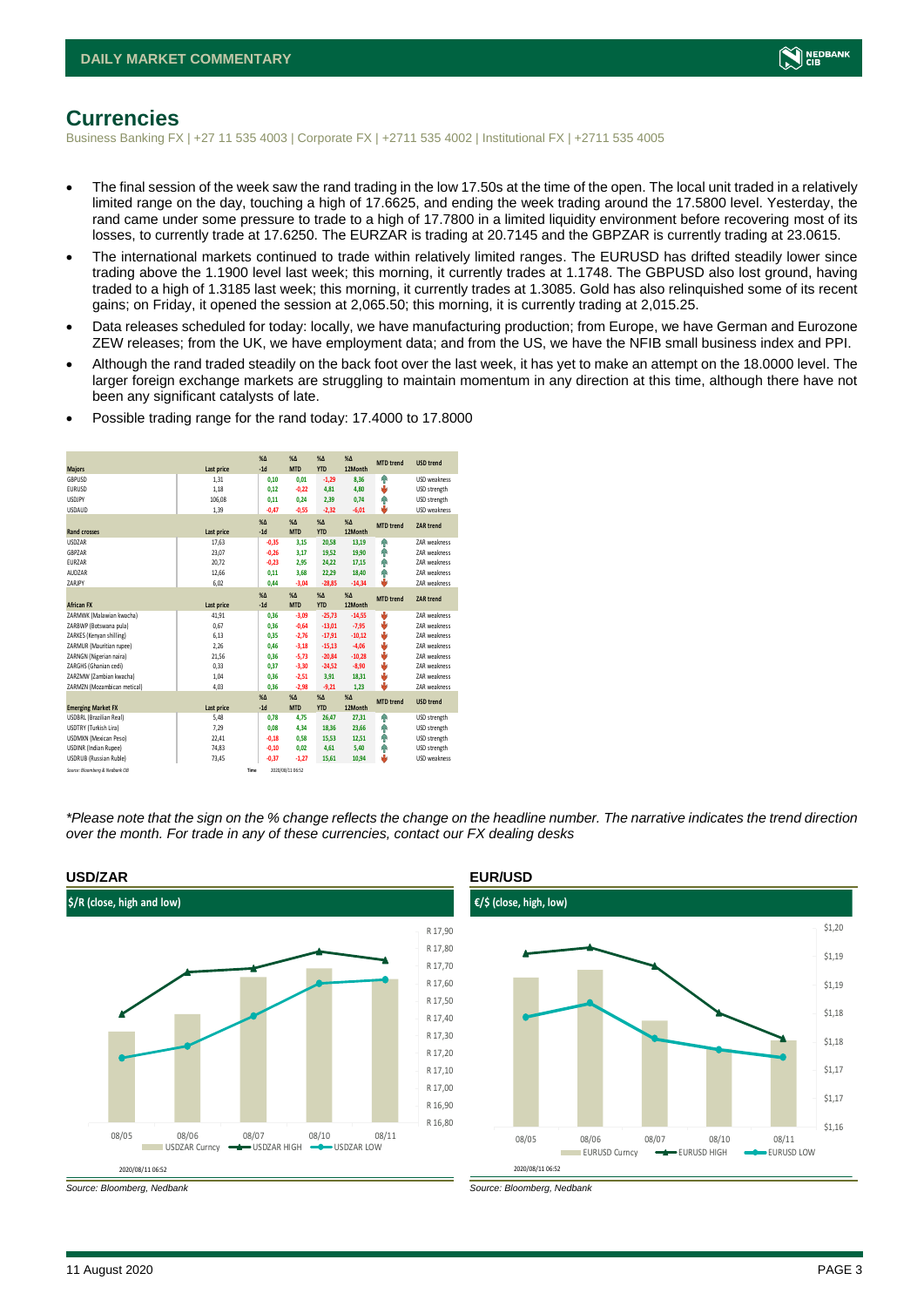

## <span id="page-2-0"></span>**Currencies**

Business Banking FX | +27 11 535 4003 | Corporate FX | +2711 535 4002 | Institutional FX | +2711 535 4005

- The final session of the week saw the rand trading in the low 17.50s at the time of the open. The local unit traded in a relatively limited range on the day, touching a high of 17.6625, and ending the week trading around the 17.5800 level. Yesterday, the rand came under some pressure to trade to a high of 17.7800 in a limited liquidity environment before recovering most of its losses, to currently trade at 17.6250. The EURZAR is trading at 20.7145 and the GBPZAR is currently trading at 23.0615.
- The international markets continued to trade within relatively limited ranges. The EURUSD has drifted steadily lower since trading above the 1.1900 level last week; this morning, it currently trades at 1.1748. The GBPUSD also lost ground, having traded to a high of 1.3185 last week; this morning, it currently trades at 1.3085. Gold has also relinquished some of its recent gains; on Friday, it opened the session at 2,065.50; this morning, it is currently trading at 2,015.25.
- Data releases scheduled for today: locally, we have manufacturing production; from Europe, we have German and Eurozone ZEW releases; from the UK, we have employment data; and from the US, we have the NFIB small business index and PPI.
- Although the rand traded steadily on the back foot over the last week, it has yet to make an attempt on the 18.0000 level. The larger foreign exchange markets are struggling to maintain momentum in any direction at this time, although there have not been any significant catalysts of late.

| <b>Majors</b>                   | Last price | $X\Delta$<br>$-1d$ | $X\Delta$<br><b>MTD</b> | $% \Delta$<br><b>YTD</b> | $% \Delta$<br>12Month | <b>MTD</b> trend | <b>USD trend</b>    |
|---------------------------------|------------|--------------------|-------------------------|--------------------------|-----------------------|------------------|---------------------|
| GBPUSD                          | 1,31       | 0,10               | 0,01                    | $-1,29$                  | 8,36                  | ٠                | USD weakness        |
| <b>EURUSD</b>                   | 1,18       | 0.12               | $-0,22$                 | 4,81                     | 4,80                  | v                | USD strength        |
| <b>USDJPY</b>                   | 106,08     | 0,11               | 0,24                    | 2,39                     | 0,74                  | ٠                | USD strength        |
| <b>USDAUD</b>                   | 1,39       | $-0,47$            | $-0,55$                 | $-2,32$                  | $-6,01$               | ı                | USD weakness        |
|                                 |            | $X\Delta$          | $X\Delta$               | $% \Delta$               | $% \Delta$            | <b>MTD</b> trend | <b>ZAR trend</b>    |
| <b>Rand crosses</b>             | Last price | $-1d$              | <b>MTD</b>              | <b>YTD</b>               | 12Month               |                  |                     |
| <b>USDZAR</b>                   | 17,63      | $-0,35$            | 3,15                    | 20,58                    | 13,19                 | ٠                | <b>7AR</b> weakness |
| GBPZAR                          | 23,07      | $-0,26$            | 3,17                    | 19,52                    | 19,90                 | ٠                | <b>7AR</b> weakness |
| EURZAR                          | 20.72      | $-0.23$            | 2.95                    | 24.22                    | 17.15                 | ٠                | <b>7AR</b> weakness |
| AUDZAR                          | 12,66      | 0,11               | 3,68                    | 22,29                    | 18,40                 | ٠                | <b>7AR</b> weakness |
| ZARJPY                          | 6,02       | 0.44               | $-3,04$                 | $-28,85$                 | $-14,34$              | ۵                | <b>7AR</b> weakness |
|                                 |            | X <sub>A</sub>     | X <sub>A</sub>          | $% \Delta$               | $% \Delta$            | <b>MTD</b> trend | <b>ZAR trend</b>    |
| <b>African FX</b>               | Last price | $-1d$              | <b>MTD</b>              | <b>YTD</b>               | 12Month               |                  |                     |
| ZARMWK (Malawian kwacha)        | 41,91      | 0,36               | $-3,09$                 | $-25,73$                 | $-14,55$              | ÷                | <b>7AR</b> weakness |
| ZARBWP (Botswana pula)          | 0.67       | 0.36               | $-0,64$                 | $-13,01$                 | $-7,95$               | v                | <b>7AR</b> weakness |
| ZARKES (Kenyan shilling)        | 6,13       | 0.35               | $-2,76$                 | $-17,91$                 | $-10,12$              | Φ                | <b>7AR</b> weakness |
| ZARMUR (Mauritian rupee)        | 2,26       | 0.46               | $-3,18$                 | $-15,13$                 | $-4,06$               | v                | <b>7AR</b> weakness |
| ZARNGN (Nigerian naira)         | 21,56      | 0.36               | $-5,73$                 | $-20,84$                 | $-10,28$              | v                | ZAR weakness        |
| ZARGHS (Ghanian cedi)           | 0.33       | 0.37               | $-3.30$                 | $-24.52$                 | $-8,90$               | U                | <b>7AR</b> weakness |
| ZARZMW (Zambian kwacha)         | 1.04       | 0.36               | $-2,51$                 | 3.91                     | 18,31                 | v                | ZAR weakness        |
| ZARMZN (Mozambican metical)     | 4.03       | 0.36               | $-2.98$                 | $-9,21$                  | 1.23                  | ı                | ZAR weakness        |
|                                 |            | $X\Delta$          | $X\Delta$               | $% \Delta$               | $% \Delta$            | <b>MTD</b> trend | <b>USD trend</b>    |
| <b>Emerging Market FX</b>       | Last price | $-1d$              | <b>MTD</b>              | <b>YTD</b>               | 12Month               |                  |                     |
| <b>USDBRL (Brazilian Real)</b>  | 5,48       | 0,78               | 4,75                    | 26,47                    | 27,31                 | ٠                | USD strength        |
| USDTRY (Turkish Lira)           | 7,29       | 0,08               | 4,34                    | 18,36                    | 23,66                 | ٠                | USD strength        |
| <b>USDMXN</b> (Mexican Peso)    | 22,41      | $-0.18$            | 0,58                    | 15.53                    | 12,51                 | ٠                | USD strength        |
| <b>USDINR</b> (Indian Rupee)    | 74,83      | $-0,10$            | 0,02                    | 4,61                     | 5,40                  | ٠                | USD strength        |
| <b>USDRUB (Russian Ruble)</b>   | 73.45      | $-0.37$            | $-1,27$                 | 15.61                    | 10,94                 | s                | <b>USD</b> weakness |
| Source: Bloomberg & Nedbank CIB |            | Time               | 2020/08/11 06:52        |                          |                       |                  |                     |

• Possible trading range for the rand today: 17.4000 to 17.8000

*\*Please note that the sign on the % change reflects the change on the headline number. The narrative indicates the trend direction over the month. For trade in any of these currencies, contact our FX dealing desks*





*Source: Bloomberg, Nedbank Source: Bloomberg, Nedbank*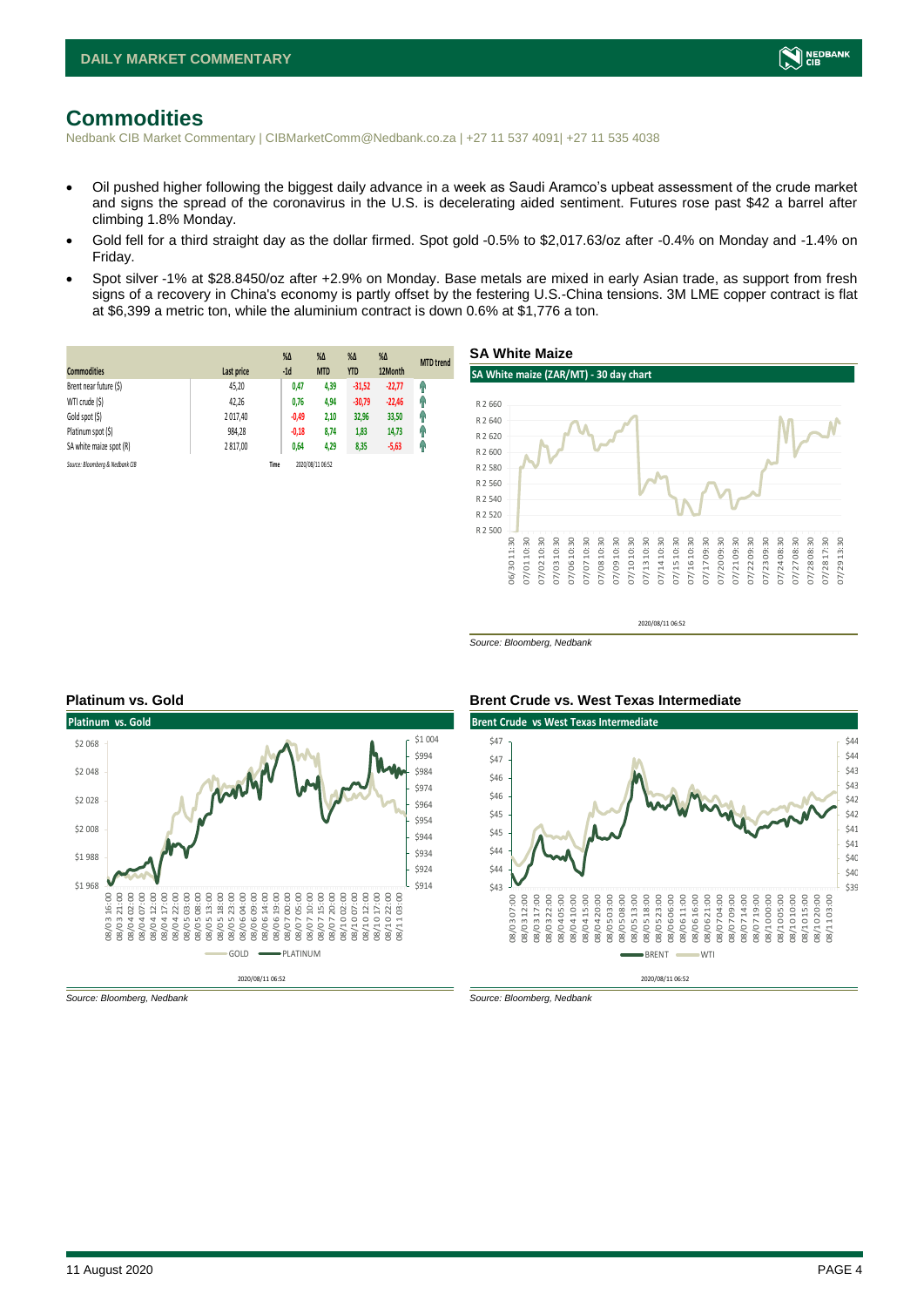

## <span id="page-3-0"></span>**Commodities**

Nedbank CIB Market Commentary | CIBMarketComm@Nedbank.co.za | +27 11 537 4091| +27 11 535 4038

- Oil pushed higher following the biggest daily advance in a week as Saudi Aramco's upbeat assessment of the crude market and signs the spread of the coronavirus in the U.S. is decelerating aided sentiment. Futures rose past \$42 a barrel after climbing 1.8% Monday.
- Gold fell for a third straight day as the dollar firmed. Spot gold -0.5% to \$2,017.63/oz after -0.4% on Monday and -1.4% on Friday.
- Spot silver -1% at \$28.8450/oz after +2.9% on Monday. Base metals are mixed in early Asian trade, as support from fresh signs of a recovery in China's economy is partly offset by the festering U.S.-China tensions. 3M LME copper contract is flat at \$6,399 a metric ton, while the aluminium contract is down 0.6% at \$1,776 a ton.

| <b>Commodities</b>              | Last price | $% \Delta$<br>$-1d$ | $\%$ $\Delta$<br><b>MTD</b> | $%$ $\Delta$<br><b>YTD</b> | $%$ $\Delta$<br>12Month | <b>MTD</b> trend |
|---------------------------------|------------|---------------------|-----------------------------|----------------------------|-------------------------|------------------|
| Brent near future (\$)          | 45,20      | 0,47                | 4,39                        | $-31,52$                   | $-22,77$                | q,               |
| WTI crude (\$)                  | 42,26      | 0,76                | 4,94                        | $-30,79$                   | $-22,46$                | η,               |
| Gold spot (\$)                  | 2017,40    | $-0,49$             | 2,10                        | 32,96                      | 33,50                   | 4                |
| Platinum spot (\$)              | 984,28     | $-0,18$             | 8,74                        | 1,83                       | 14,73                   | q,               |
| SA white maize spot (R)         | 2817,00    | 0,64                | 4,29                        | 8,35                       | $-5,63$                 | q,               |
| Source: Bloombera & Nedbank CIB |            | Time                | 2020/08/11 06:52            |                            |                         |                  |



2020/08/11 06:52

*Source: Bloomberg, Nedbank*



#### *Source: Bloomberg, Nedbank Source: Bloomberg, Nedbank*

#### **Platinum vs. Gold Brent Crude vs. West Texas Intermediate**

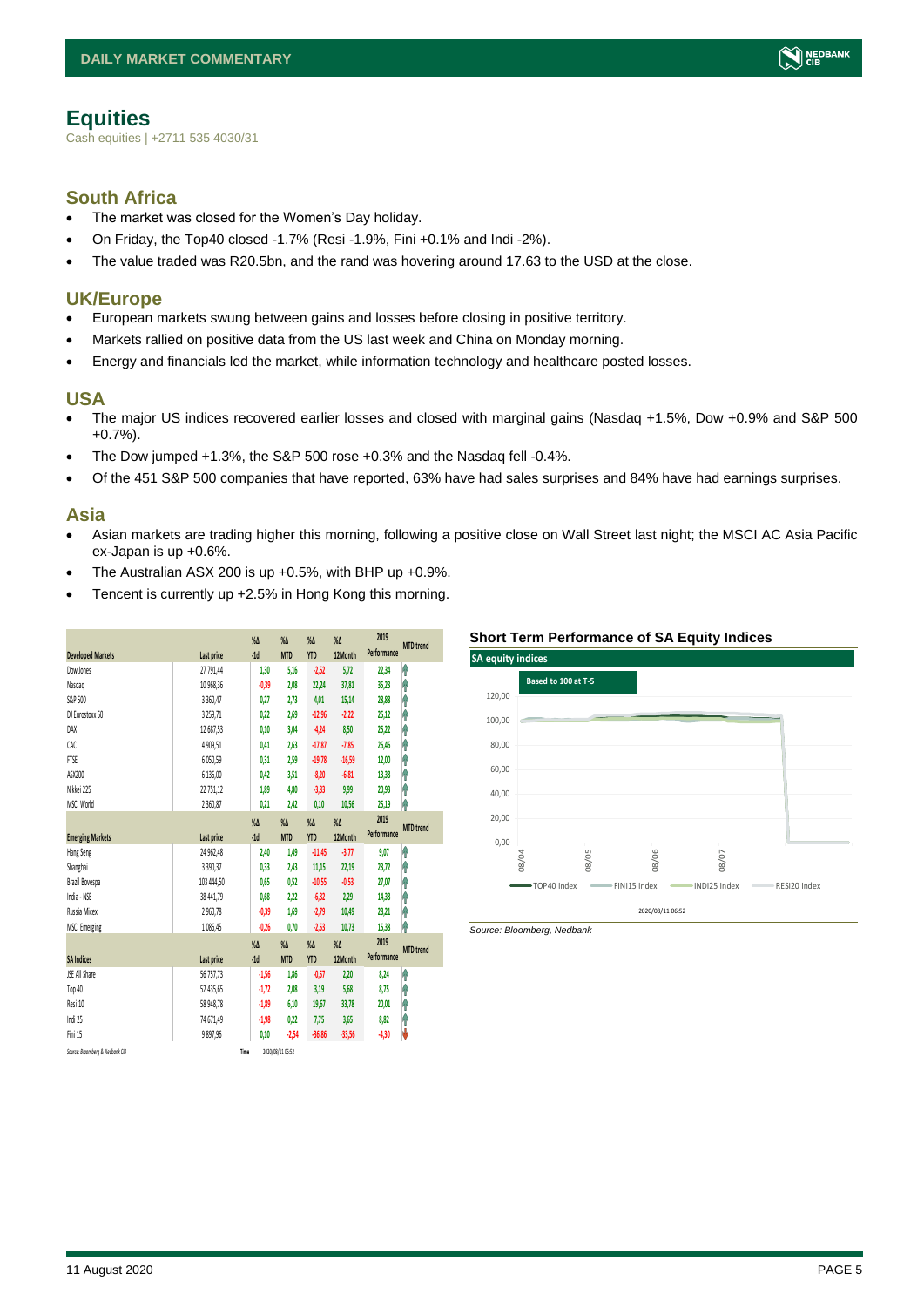<span id="page-4-0"></span>Cash equities | +2711 535 4030/31

#### **South Africa**

- The market was closed for the Women's Day holiday.
- On Friday, the Top40 closed -1.7% (Resi -1.9%, Fini +0.1% and Indi -2%).
- The value traded was R20.5bn, and the rand was hovering around 17.63 to the USD at the close.

#### **UK/Europe**

- European markets swung between gains and losses before closing in positive territory.
- Markets rallied on positive data from the US last week and China on Monday morning.
- Energy and financials led the market, while information technology and healthcare posted losses.

### **USA**

- The major US indices recovered earlier losses and closed with marginal gains (Nasdaq +1.5%, Dow +0.9% and S&P 500 +0.7%).
- The Dow jumped +1.3%, the S&P 500 rose +0.3% and the Nasdaq fell -0.4%.
- Of the 451 S&P 500 companies that have reported, 63% have had sales surprises and 84% have had earnings surprises.

### **Asia**

- Asian markets are trading higher this morning, following a positive close on Wall Street last night; the MSCI AC Asia Pacific ex-Japan is up +0.6%.
- The Australian ASX 200 is up  $+0.5$ %, with BHP up  $+0.9$ %.
- Tencent is currently up +2.5% in Hong Kong this morning.

| <b>Developed Markets</b>        | Last price   | $\%$ $\Delta$<br>$-1d$ | $\%$ $\Delta$<br><b>MTD</b> | $% \Delta$<br><b>YTD</b> | $\%$ $\Delta$<br>12Month | 2019<br>Performance | <b>MTD</b> trend |
|---------------------------------|--------------|------------------------|-----------------------------|--------------------------|--------------------------|---------------------|------------------|
| Dow Jones                       | 27 791,44    | 1,30                   | 5,16                        | $-2,62$                  | 5,72                     | 22,34               | ٨                |
| Nasdao                          | 10 968.36    | $-0,39$                | 2.08                        | 22,24                    | 37.81                    | 35,23               | ۸                |
| S&P 500                         | 3 3 6 0, 4 7 | 0,27                   | 2, 73                       | 4,01                     | 15,14                    | 28,88               | Ĥ                |
| DJ Eurostoxx 50                 | 3 2 5 9, 7 1 | 0.22                   | 2.69                        | $-12,96$                 | $-2,22$                  | 25,12               | ŧ                |
| DAX                             | 12 687.53    | 0.10                   | 3.04                        | $-4,24$                  | 8.50                     | 25,22               | ۸                |
| CAC.                            | 4 9 09, 51   | 0,41                   | 2,63                        | $-17,87$                 | $-7,85$                  | 26,46               | Ĥ                |
| <b>FTSE</b>                     | 6050,59      | 0,31                   | 2,59                        | $-19,78$                 | $-16,59$                 | 12,00               | ۸                |
| ASX200                          | 6 136.00     | 0.42                   | 3.51                        | $-8,20$                  | $-6.81$                  | 13,38               | Ĥ                |
| Nikkei 225                      | 22 751,12    | 1,89                   | 4.80                        | $-3,83$                  | 9,99                     | 20,93               | ۸                |
| MSCI World                      | 2 3 6 0, 8 7 | 0,21                   | 2,42                        | 0,10                     | 10,56                    | 25,19               | ۸                |
|                                 |              | $\%$ $\Delta$          | $\%$ $\Delta$               | $\%$ $\Delta$            | $\%$ $\Delta$            | 2019                |                  |
| <b>Emerging Markets</b>         | Last price   | $-1d$                  | <b>MTD</b>                  | <b>YTD</b>               | 12Month                  | Performance         | <b>MTD</b> trend |
| Hang Seng                       | 24 962,48    | 2,40                   | 1,49                        | $-11,45$                 | $-3,77$                  | 9,07                | ۸                |
| Shanghai                        | 3 3 9 0, 3 7 | 0,33                   | 2,43                        | 11,15                    | 22,19                    | 23,72               | ٨                |
| Brazil Bovespa                  | 103 444,50   | 0,65                   | 0,52                        | $-10,55$                 | $-0,53$                  | 27,07               | ٨                |
| India - NSE                     | 38 441,79    | 0,68                   | 2,22                        | $-6,82$                  | 2,29                     | 14,38               | ۸                |
| Russia Micex                    | 2960,78      | $-0,39$                | 1.69                        | $-2,79$                  | 10,49                    | 28,21               | ۸                |
| <b>MSCI Emerging</b>            | 1086,45      | $-0,26$                | 0,70                        | $-2,53$                  | 10,73                    | 15,38               | ۸                |
|                                 |              | $\%$                   | $\%$ $\Delta$               | $\%$ $\Delta$            | $\%$                     | 2019                | <b>MTD</b> trend |
| <b>SA Indices</b>               | Last price   | $-1d$                  | <b>MTD</b>                  | <b>YTD</b>               | 12Month                  | Performance         |                  |
| <b>JSE All Share</b>            | 56 757,73    | $-1,56$                | 1,86                        | $-0,57$                  | 2,20                     | 8,24                | ۸                |
| Top 40                          | 52 435,65    | $-1,72$                | 2.08                        | 3,19                     | 5,68                     | 8,75                | ۸                |
| Resi 10                         | 58 948.78    | $-1,89$                | 6.10                        | 19,67                    | 33,78                    | 20,01               | ۸                |
| Indi 25                         | 74 671,49    | $-1,98$                | 0,22                        | 7,75                     | 3,65                     | 8,82                | ۸                |
| Fini 15                         | 9897.96      | 0,10                   | $-2,54$                     | $-36,86$                 | $-33,56$                 | $-4,30$             | V                |
| Source: Bloomberg & Nedbank CIB | Time         |                        | 2020/08/11 06:52            |                          |                          |                     |                  |

#### **Short Term Performance of SA Equity Indices**



*Source: Bloomberg, Nedbank*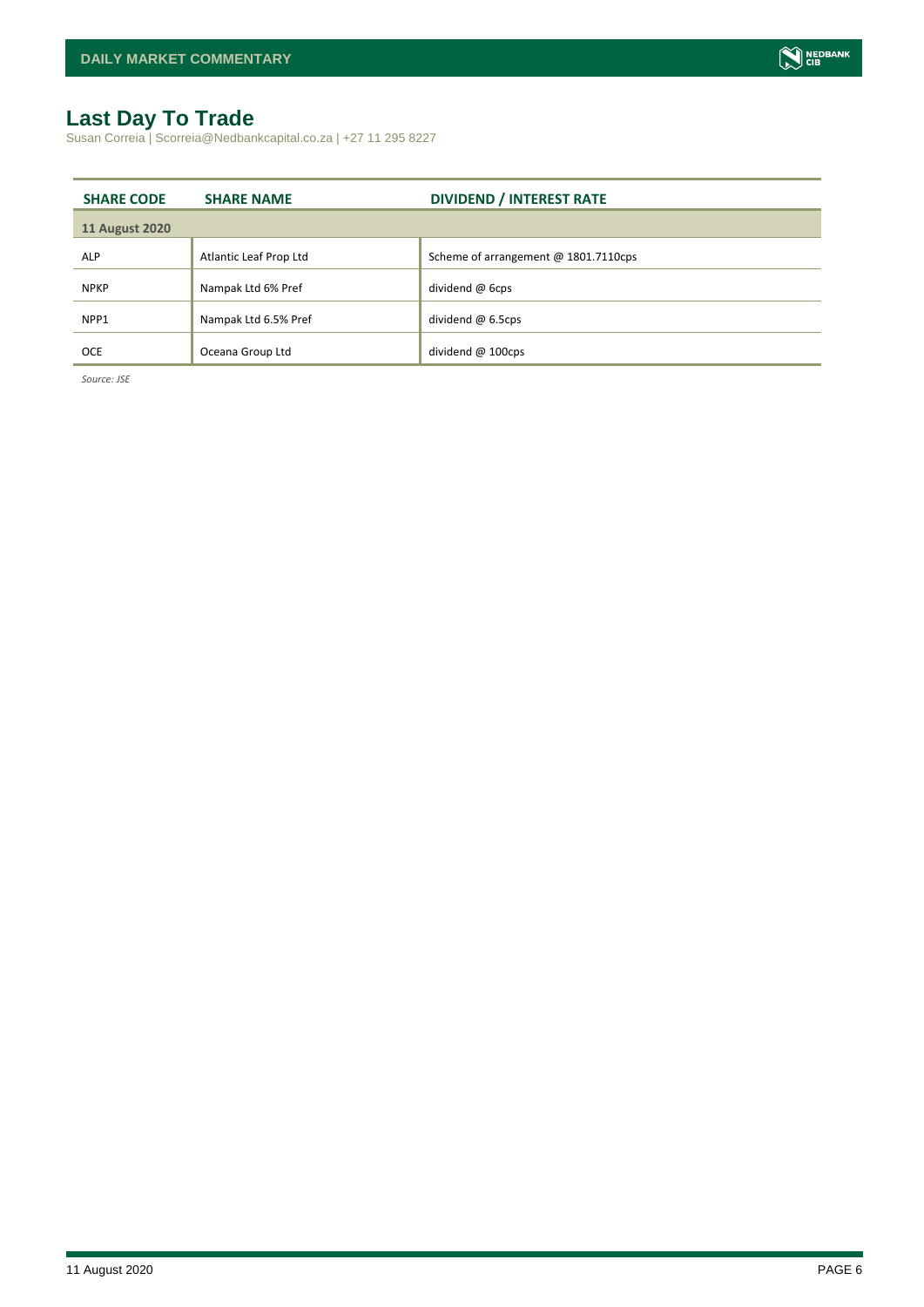## <span id="page-5-0"></span>**Last Day To Trade**

Susan Correia | Scorreia@Nedbankcapital.co.za | +27 11 295 8227

| <b>SHARE CODE</b>     | <b>SHARE NAME</b>      | <b>DIVIDEND / INTEREST RATE</b>      |
|-----------------------|------------------------|--------------------------------------|
| <b>11 August 2020</b> |                        |                                      |
| <b>ALP</b>            | Atlantic Leaf Prop Ltd | Scheme of arrangement @ 1801.7110cps |
| <b>NPKP</b>           | Nampak Ltd 6% Pref     | dividend @ 6cps                      |
| NPP1                  | Nampak Ltd 6.5% Pref   | dividend $@6.5cps$                   |
| <b>OCE</b>            | Oceana Group Ltd       | dividend $@$ 100cps                  |

*Source: JSE*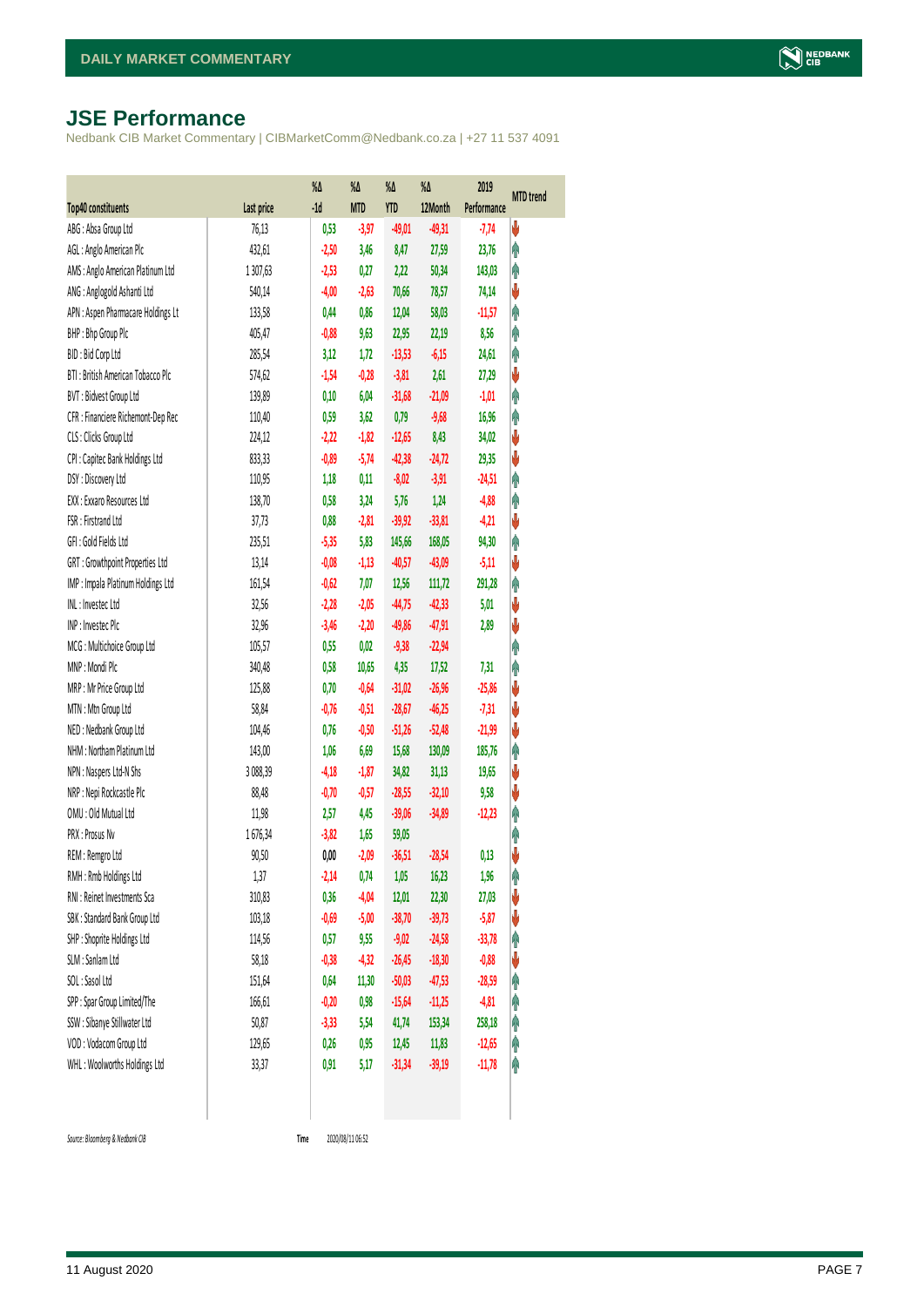## <span id="page-6-0"></span>**JSE Performance**

Nedbank CIB Market Commentary | CIBMarketComm@Nedbank.co.za | +27 11 537 4091

|                                    |            | $\%$ $\Delta$ | %Δ         | %Δ         | %Δ       | 2019        | <b>MTD</b> trend |
|------------------------------------|------------|---------------|------------|------------|----------|-------------|------------------|
| <b>Top40 constituents</b>          | Last price | $-1d$         | <b>MTD</b> | <b>YTD</b> | 12Month  | Performance |                  |
| ABG: Absa Group Ltd                | 76,13      | 0,53          | $-3,97$    | $-49,01$   | $-49,31$ | $-7,74$     | V                |
| AGL : Anglo American Plc           | 432,61     | $-2,50$       | 3,46       | 8,47       | 27,59    | 23,76       | φ                |
| AMS: Anglo American Platinum Ltd   | 1307,63    | $-2,53$       | 0,27       | 2,22       | 50,34    | 143,03      | Ą                |
| ANG: Anglogold Ashanti Ltd         | 540,14     | $-4,00$       | $-2,63$    | 70,66      | 78,57    | 74,14       | ψ                |
| APN : Aspen Pharmacare Holdings Lt | 133,58     | 0,44          | 0,86       | 12,04      | 58,03    | $-11,57$    | φ                |
| BHP: Bhp Group Plc                 | 405,47     | $-0,88$       | 9,63       | 22,95      | 22,19    | 8,56        | φ                |
| BID: Bid Corp Ltd                  | 285,54     | 3,12          | 1,72       | $-13,53$   | $-6,15$  | 24,61       | φ                |
| BTI: British American Tobacco Plc  | 574,62     | $-1,54$       | $-0,28$    | $-3,81$    | 2,61     | 27,29       | ψ                |
| BVT: Bidvest Group Ltd             | 139,89     | 0,10          | 6,04       | $-31,68$   | $-21,09$ | $-1,01$     | Ą                |
| CFR : Financiere Richemont-Dep Rec | 110,40     | 0,59          | 3,62       | 0,79       | $-9,68$  | 16,96       | φ                |
| CLS : Clicks Group Ltd             | 224,12     | $-2,22$       | $-1,82$    | $-12,65$   | 8,43     | 34,02       | ψ                |
| CPI : Capitec Bank Holdings Ltd    | 833,33     | $-0,89$       | $-5,74$    | $-42,38$   | $-24,72$ | 29,35       | ψ                |
| DSY: Discovery Ltd                 | 110,95     | 1,18          | 0,11       | $-8,02$    | $-3,91$  | $-24,51$    | φ                |
| EXX : Exxaro Resources Ltd         | 138,70     | 0,58          | 3,24       | 5,76       | 1,24     | $-4,88$     | φ                |
| FSR: Firstrand Ltd                 | 37,73      | 0,88          | $-2,81$    | $-39,92$   | $-33,81$ | $-4,21$     | ψ                |
| GFI: Gold Fields Ltd               | 235,51     | $-5,35$       | 5,83       | 145,66     | 168,05   | 94,30       | φ                |
| GRT : Growthpoint Properties Ltd   | 13,14      | $-0,08$       | $-1,13$    | $-40,57$   | $-43,09$ | $-5,11$     | V                |
| IMP : Impala Platinum Holdings Ltd | 161,54     | $-0,62$       | 7,07       | 12,56      | 111,72   | 291,28      | φ                |
| INL: Investec Ltd                  | 32,56      | $-2,28$       | $-2,05$    | $-44,75$   | $-42,33$ | 5,01        | V                |
| INP: Investec Plc                  | 32,96      | $-3,46$       | $-2,20$    | $-49,86$   | $-47,91$ | 2,89        | ψ                |
| MCG: Multichoice Group Ltd         | 105,57     | 0,55          | 0,02       | $-9,38$    | $-22,94$ |             | φ                |
| MNP: Mondi Plc                     | 340,48     | 0,58          | 10,65      | 4,35       | 17,52    | 7,31        | h                |
| MRP : Mr Price Group Ltd           | 125,88     | 0,70          | $-0,64$    | $-31,02$   | $-26,96$ | $-25,86$    | ψ                |
| MTN: Mtn Group Ltd                 | 58,84      | $-0,76$       | $-0,51$    | $-28,67$   | $-46,25$ | $-7,31$     | ψ                |
| NED: Nedbank Group Ltd             | 104,46     | 0,76          | $-0,50$    | $-51,26$   | $-52,48$ | $-21,99$    | V                |
| NHM: Northam Platinum Ltd          | 143,00     | 1,06          | 6,69       | 15,68      | 130,09   | 185,76      | φ                |
| NPN : Naspers Ltd-N Shs            | 3 088,39   | $-4,18$       | $-1,87$    | 34,82      | 31,13    | 19,65       | V                |
| NRP : Nepi Rockcastle Plc          | 88,48      | $-0,70$       | $-0,57$    | $-28,55$   | $-32,10$ | 9,58        | ψ                |
| OMU: Old Mutual Ltd                | 11,98      | 2,57          | 4,45       | $-39,06$   | $-34,89$ | $-12,23$    | φ                |
| PRX: Prosus Nv                     | 1676,34    | $-3,82$       | 1,65       | 59,05      |          |             | φ                |
| REM : Remgro Ltd                   | 90,50      | 0,00          | $-2,09$    | $-36,51$   | $-28,54$ | 0,13        | V                |
| RMH : Rmb Holdings Ltd             | 1,37       | $-2,14$       | 0,74       | 1,05       | 16,23    | 1,96        | φ                |
| RNI : Reinet Investments Sca       | 310,83     | 0,36          | $-4,04$    | 12,01      | 22,30    | 27,03       | ψ                |
| SBK: Standard Bank Group Ltd       | 103,18     | $-0,69$       | $-5,00$    | $-38,70$   | $-39,73$ | $-5,87$     | ψ                |
| SHP : Shoprite Holdings Ltd        | 114,56     | 0,57          | 9,55       | $-9,02$    | $-24,58$ | $-33,78$    | φ                |
| SLM : Sanlam Ltd                   | 58,18      | $-0,38$       | $-4,32$    | $-26,45$   | $-18,30$ | $-0,88$     | ψ                |
| SOL: Sasol Ltd                     | 151,64     | 0,64          | 11,30      | $-50,03$   | $-47,53$ | $-28,59$    | φ                |
| SPP: Spar Group Limited/The        | 166,61     | $-0,20$       | 0,98       | $-15,64$   | $-11,25$ | $-4,81$     | Ĥ                |
| SSW : Sibanye Stillwater Ltd       | 50,87      | $-3,33$       | 5,54       | 41,74      | 153,34   | 258,18      | φ                |
| VOD: Vodacom Group Ltd             | 129,65     | 0,26          | 0,95       | 12,45      | 11,83    | $-12,65$    | φ                |
| WHL: Woolworths Holdings Ltd       | 33,37      | 0,91          | 5,17       | $-31,34$   | $-39,19$ | $-11,78$    | φ                |
|                                    |            |               |            |            |          |             |                  |

 $Source: Bloomberg & Nedbank *CB*$ 

2020/08/11 06:52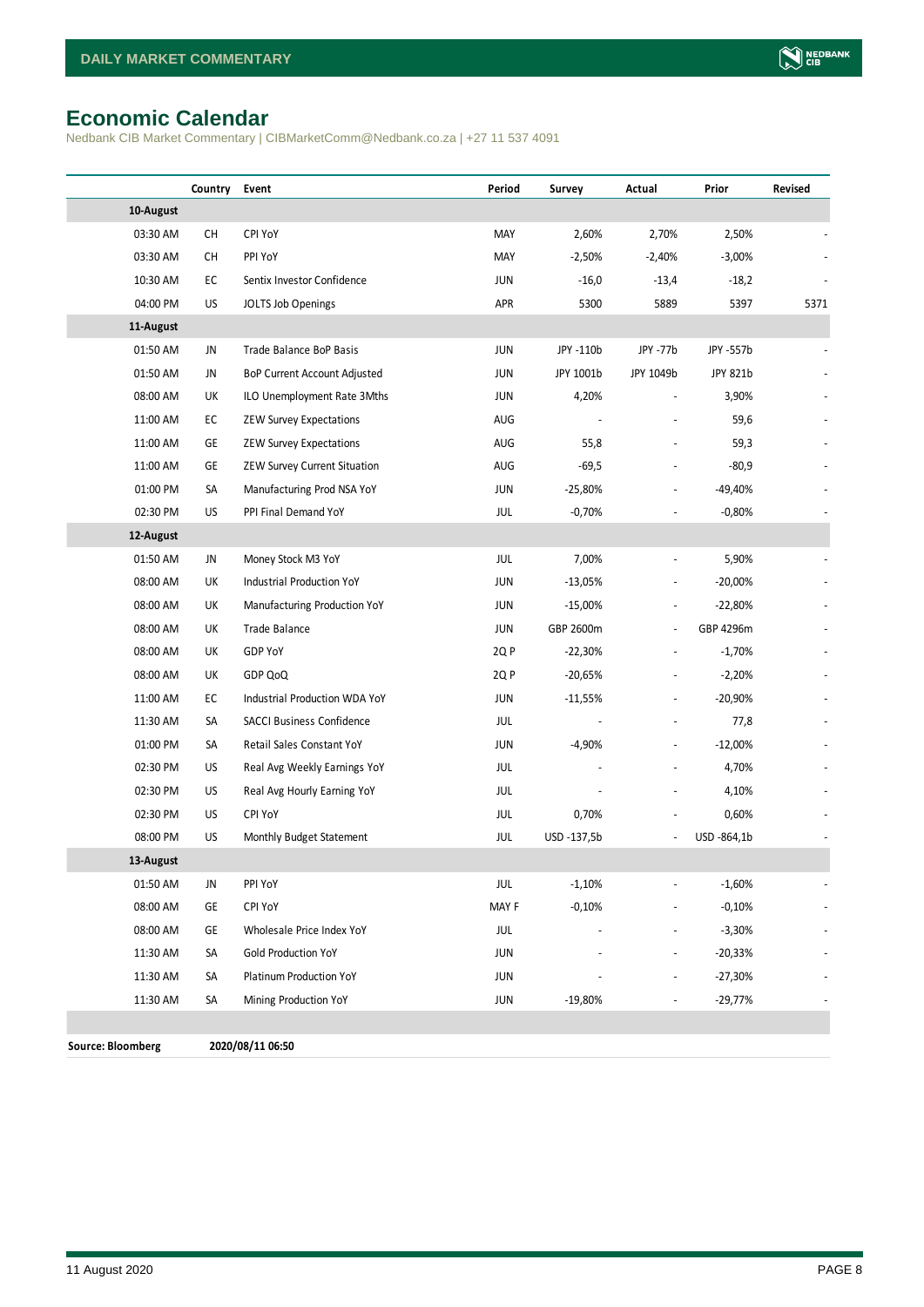## <span id="page-7-0"></span>**Economic Calendar**

Nedbank CIB Market Commentary | CIBMarketComm@Nedbank.co.za | +27 11 537 4091

|                          | Country   | Event                            | Period     | Survey      | Actual                   | Prior       | Revised                  |
|--------------------------|-----------|----------------------------------|------------|-------------|--------------------------|-------------|--------------------------|
| 10-August                |           |                                  |            |             |                          |             |                          |
| 03:30 AM                 | <b>CH</b> | CPI YoY                          | MAY        | 2,60%       | 2,70%                    | 2,50%       |                          |
| 03:30 AM                 | <b>CH</b> | PPI YoY                          | MAY        | $-2,50%$    | $-2,40%$                 | $-3,00%$    |                          |
| 10:30 AM                 | EC        | Sentix Investor Confidence       | JUN        | $-16,0$     | $-13,4$                  | $-18,2$     |                          |
| 04:00 PM                 | US        | JOLTS Job Openings               | APR        | 5300        | 5889                     | 5397        | 5371                     |
| 11-August                |           |                                  |            |             |                          |             |                          |
| 01:50 AM                 | JN        | <b>Trade Balance BoP Basis</b>   | <b>JUN</b> | JPY -110b   | JPY -77b                 | JPY -557b   |                          |
| 01:50 AM                 | JN        | BoP Current Account Adjusted     | <b>JUN</b> | JPY 1001b   | JPY 1049b                | JPY 821b    |                          |
| 08:00 AM                 | UK        | ILO Unemployment Rate 3Mths      | JUN        | 4,20%       |                          | 3,90%       |                          |
| 11:00 AM                 | EC        | <b>ZEW Survey Expectations</b>   | <b>AUG</b> |             |                          | 59,6        |                          |
| 11:00 AM                 | GE        | <b>ZEW Survey Expectations</b>   | AUG        | 55,8        |                          | 59,3        |                          |
| 11:00 AM                 | GE        | ZEW Survey Current Situation     | AUG        | $-69,5$     |                          | $-80,9$     |                          |
| 01:00 PM                 | SA        | Manufacturing Prod NSA YoY       | JUN        | $-25,80%$   |                          | -49,40%     |                          |
| 02:30 PM                 | <b>US</b> | PPI Final Demand YoY             | JUL        | $-0,70%$    |                          | $-0,80%$    |                          |
| 12-August                |           |                                  |            |             |                          |             |                          |
| 01:50 AM                 | JN        | Money Stock M3 YoY               | JUL        | 7,00%       | $\overline{\phantom{a}}$ | 5,90%       |                          |
| 08:00 AM                 | UK        | Industrial Production YoY        | JUN        | $-13,05%$   | $\overline{\phantom{a}}$ | $-20,00%$   |                          |
| 08:00 AM                 | UK        | Manufacturing Production YoY     | JUN        | $-15,00%$   | $\overline{\phantom{a}}$ | $-22,80%$   |                          |
| 08:00 AM                 | UK        | Trade Balance                    | JUN        | GBP 2600m   | $\overline{\phantom{a}}$ | GBP 4296m   |                          |
| 08:00 AM                 | UK        | GDP YoY                          | 2Q P       | $-22,30%$   | $\overline{\phantom{a}}$ | $-1,70%$    |                          |
| 08:00 AM                 | UK        | GDP QoQ                          | 2Q P       | $-20,65%$   | $\overline{a}$           | $-2,20%$    |                          |
| 11:00 AM                 | EC        | Industrial Production WDA YoY    | JUN        | $-11,55%$   | $\overline{\phantom{a}}$ | $-20,90%$   |                          |
| 11:30 AM                 | SA        | <b>SACCI Business Confidence</b> | JUL        |             |                          | 77,8        |                          |
| 01:00 PM                 | SA        | Retail Sales Constant YoY        | JUN        | $-4,90%$    | $\overline{\phantom{a}}$ | $-12,00%$   |                          |
| 02:30 PM                 | US        | Real Avg Weekly Earnings YoY     | JUL        |             | $\overline{a}$           | 4,70%       |                          |
| 02:30 PM                 | US        | Real Avg Hourly Earning YoY      | JUL        |             |                          | 4,10%       |                          |
| 02:30 PM                 | US        | <b>CPI YoY</b>                   | JUL        | 0,70%       |                          | 0,60%       |                          |
| 08:00 PM                 | US        | Monthly Budget Statement         | JUL        | USD -137,5b | $\overline{\phantom{a}}$ | USD -864,1b |                          |
| 13-August                |           |                                  |            |             |                          |             |                          |
| 01:50 AM                 | JN        | PPI YoY                          | JUL        | $-1,10%$    | $\frac{1}{2}$            | $-1,60%$    | $\overline{\phantom{a}}$ |
| 08:00 AM                 | GE        | <b>CPI YoY</b>                   | MAY F      | $-0,10%$    |                          | $-0,10%$    |                          |
| 08:00 AM                 | GE        | Wholesale Price Index YoY        | JUL        |             | $\overline{\phantom{a}}$ | $-3,30%$    |                          |
| 11:30 AM                 | SA        | <b>Gold Production YoY</b>       | JUN        |             |                          | $-20,33%$   |                          |
| 11:30 AM                 | SA        | Platinum Production YoY          | JUN        |             |                          | $-27,30%$   |                          |
| 11:30 AM                 | SA        | Mining Production YoY            | JUN        | $-19,80%$   |                          | $-29,77%$   |                          |
|                          |           |                                  |            |             |                          |             |                          |
| <b>Source: Bloomberg</b> |           | 2020/08/11 06:50                 |            |             |                          |             |                          |